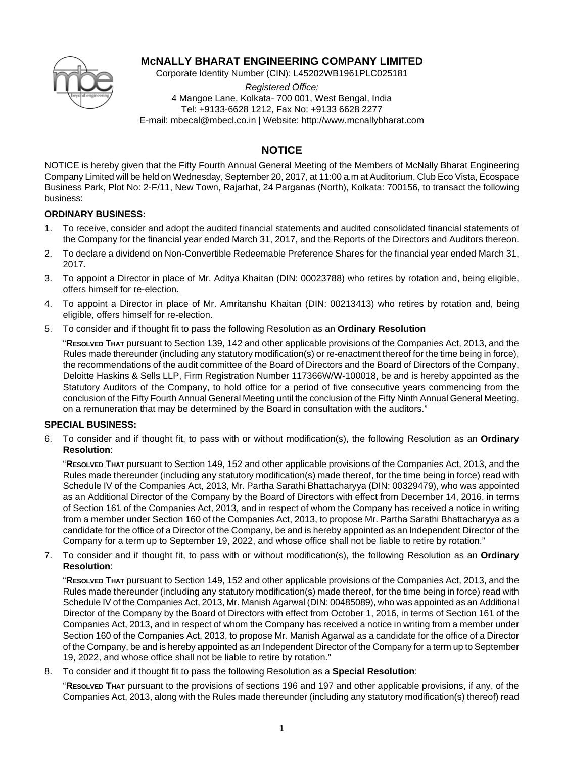

# **McNALLY BHARAT ENGINEERING COMPANY LIMITED**

Corporate Identity Number (CIN): L45202WB1961PLC025181

*Registered Office:* 4 Mangoe Lane, Kolkata- 700 001, West Bengal, India Tel: +9133-6628 1212, Fax No: +9133 6628 2277 E-mail: mbecal@mbecl.co.in | Website: http://www.mcnallybharat.com

# **NOTICE**

NOTICE is hereby given that the Fifty Fourth Annual General Meeting of the Members of McNally Bharat Engineering Company Limited will be held on Wednesday, September 20, 2017, at 11:00 a.m at Auditorium, Club Eco Vista, Ecospace Business Park, Plot No: 2-F/11, New Town, Rajarhat, 24 Parganas (North), Kolkata: 700156, to transact the following business:

## **ORDINARY BUSINESS:**

- 1. To receive, consider and adopt the audited financial statements and audited consolidated financial statements of the Company for the financial year ended March 31, 2017, and the Reports of the Directors and Auditors thereon.
- 2. To declare a dividend on Non-Convertible Redeemable Preference Shares for the financial year ended March 31, 2017.
- 3. To appoint a Director in place of Mr. Aditya Khaitan (DIN: 00023788) who retires by rotation and, being eligible, offers himself for re-election.
- 4. To appoint a Director in place of Mr. Amritanshu Khaitan (DIN: 00213413) who retires by rotation and, being eligible, offers himself for re-election.
- 5. To consider and if thought fit to pass the following Resolution as an **Ordinary Resolution**

"**RESOLVED THAT** pursuant to Section 139, 142 and other applicable provisions of the Companies Act, 2013, and the Rules made thereunder (including any statutory modification(s) or re-enactment thereof for the time being in force), the recommendations of the audit committee of the Board of Directors and the Board of Directors of the Company, Deloitte Haskins & Sells LLP, Firm Registration Number 117366W/W-100018, be and is hereby appointed as the Statutory Auditors of the Company, to hold office for a period of five consecutive years commencing from the conclusion of the Fifty Fourth Annual General Meeting until the conclusion of the Fifty Ninth Annual General Meeting, on a remuneration that may be determined by the Board in consultation with the auditors."

## **SPECIAL BUSINESS:**

6. To consider and if thought fit, to pass with or without modification(s), the following Resolution as an **Ordinary Resolution**:

"**RESOLVED THAT** pursuant to Section 149, 152 and other applicable provisions of the Companies Act, 2013, and the Rules made thereunder (including any statutory modification(s) made thereof, for the time being in force) read with Schedule IV of the Companies Act, 2013, Mr. Partha Sarathi Bhattacharyya (DIN: 00329479), who was appointed as an Additional Director of the Company by the Board of Directors with effect from December 14, 2016, in terms of Section 161 of the Companies Act, 2013, and in respect of whom the Company has received a notice in writing from a member under Section 160 of the Companies Act, 2013, to propose Mr. Partha Sarathi Bhattacharyya as a candidate for the office of a Director of the Company, be and is hereby appointed as an Independent Director of the Company for a term up to September 19, 2022, and whose office shall not be liable to retire by rotation."

7. To consider and if thought fit, to pass with or without modification(s), the following Resolution as an **Ordinary Resolution**:

"**RESOLVED THAT** pursuant to Section 149, 152 and other applicable provisions of the Companies Act, 2013, and the Rules made thereunder (including any statutory modification(s) made thereof, for the time being in force) read with Schedule IV of the Companies Act, 2013, Mr. Manish Agarwal (DIN: 00485089), who was appointed as an Additional Director of the Company by the Board of Directors with effect from October 1, 2016, in terms of Section 161 of the Companies Act, 2013, and in respect of whom the Company has received a notice in writing from a member under Section 160 of the Companies Act, 2013, to propose Mr. Manish Agarwal as a candidate for the office of a Director of the Company, be and is hereby appointed as an Independent Director of the Company for a term up to September 19, 2022, and whose office shall not be liable to retire by rotation."

8. To consider and if thought fit to pass the following Resolution as a **Special Resolution**:

"**RESOLVED THAT** pursuant to the provisions of sections 196 and 197 and other applicable provisions, if any, of the Companies Act, 2013, along with the Rules made thereunder (including any statutory modification(s) thereof) read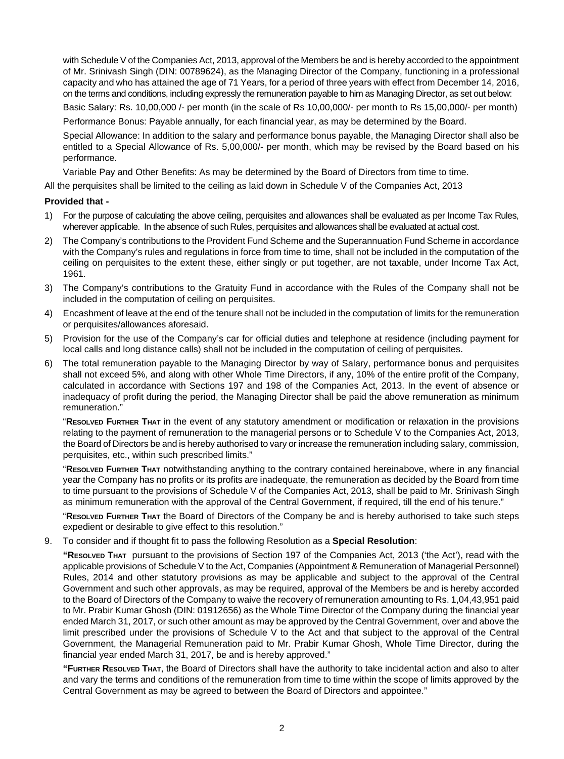with Schedule V of the Companies Act, 2013, approval of the Members be and is hereby accorded to the appointment of Mr. Srinivash Singh (DIN: 00789624), as the Managing Director of the Company, functioning in a professional capacity and who has attained the age of 71 Years, for a period of three years with effect from December 14, 2016, on the terms and conditions, including expressly the remuneration payable to him as Managing Director, as set out below:

Basic Salary: Rs. 10,00,000 /- per month (in the scale of Rs 10,00,000/- per month to Rs 15,00,000/- per month)

Performance Bonus: Payable annually, for each financial year, as may be determined by the Board.

Special Allowance: In addition to the salary and performance bonus payable, the Managing Director shall also be entitled to a Special Allowance of Rs. 5,00,000/- per month, which may be revised by the Board based on his performance.

Variable Pay and Other Benefits: As may be determined by the Board of Directors from time to time.

All the perquisites shall be limited to the ceiling as laid down in Schedule V of the Companies Act, 2013

#### **Provided that -**

- 1) For the purpose of calculating the above ceiling, perquisites and allowances shall be evaluated as per Income Tax Rules, wherever applicable. In the absence of such Rules, perquisites and allowances shall be evaluated at actual cost.
- 2) The Company's contributions to the Provident Fund Scheme and the Superannuation Fund Scheme in accordance with the Company's rules and regulations in force from time to time, shall not be included in the computation of the ceiling on perquisites to the extent these, either singly or put together, are not taxable, under Income Tax Act, 1961.
- 3) The Company's contributions to the Gratuity Fund in accordance with the Rules of the Company shall not be included in the computation of ceiling on perquisites.
- 4) Encashment of leave at the end of the tenure shall not be included in the computation of limits for the remuneration or perquisites/allowances aforesaid.
- 5) Provision for the use of the Company's car for official duties and telephone at residence (including payment for local calls and long distance calls) shall not be included in the computation of ceiling of perquisites.
- 6) The total remuneration payable to the Managing Director by way of Salary, performance bonus and perquisites shall not exceed 5%, and along with other Whole Time Directors, if any, 10% of the entire profit of the Company, calculated in accordance with Sections 197 and 198 of the Companies Act, 2013. In the event of absence or inadequacy of profit during the period, the Managing Director shall be paid the above remuneration as minimum remuneration."

"**RESOLVED FURTHER THAT** in the event of any statutory amendment or modification or relaxation in the provisions relating to the payment of remuneration to the managerial persons or to Schedule V to the Companies Act, 2013, the Board of Directors be and is hereby authorised to vary or increase the remuneration including salary, commission, perquisites, etc., within such prescribed limits."

"**RESOLVED FURTHER THAT** notwithstanding anything to the contrary contained hereinabove, where in any financial year the Company has no profits or its profits are inadequate, the remuneration as decided by the Board from time to time pursuant to the provisions of Schedule V of the Companies Act, 2013, shall be paid to Mr. Srinivash Singh as minimum remuneration with the approval of the Central Government, if required, till the end of his tenure."

"**RESOLVED FURTHER THAT** the Board of Directors of the Company be and is hereby authorised to take such steps expedient or desirable to give effect to this resolution."

9. To consider and if thought fit to pass the following Resolution as a **Special Resolution**:

**"RESOLVED THAT** pursuant to the provisions of Section 197 of the Companies Act, 2013 ('the Act'), read with the applicable provisions of Schedule V to the Act, Companies (Appointment & Remuneration of Managerial Personnel) Rules, 2014 and other statutory provisions as may be applicable and subject to the approval of the Central Government and such other approvals, as may be required, approval of the Members be and is hereby accorded to the Board of Directors of the Company to waive the recovery of remuneration amounting to Rs. 1,04,43,951 paid to Mr. Prabir Kumar Ghosh (DIN: 01912656) as the Whole Time Director of the Company during the financial year ended March 31, 2017, or such other amount as may be approved by the Central Government, over and above the limit prescribed under the provisions of Schedule V to the Act and that subject to the approval of the Central Government, the Managerial Remuneration paid to Mr. Prabir Kumar Ghosh, Whole Time Director, during the financial year ended March 31, 2017, be and is hereby approved."

**"FURTHER RESOLVED THAT**, the Board of Directors shall have the authority to take incidental action and also to alter and vary the terms and conditions of the remuneration from time to time within the scope of limits approved by the Central Government as may be agreed to between the Board of Directors and appointee."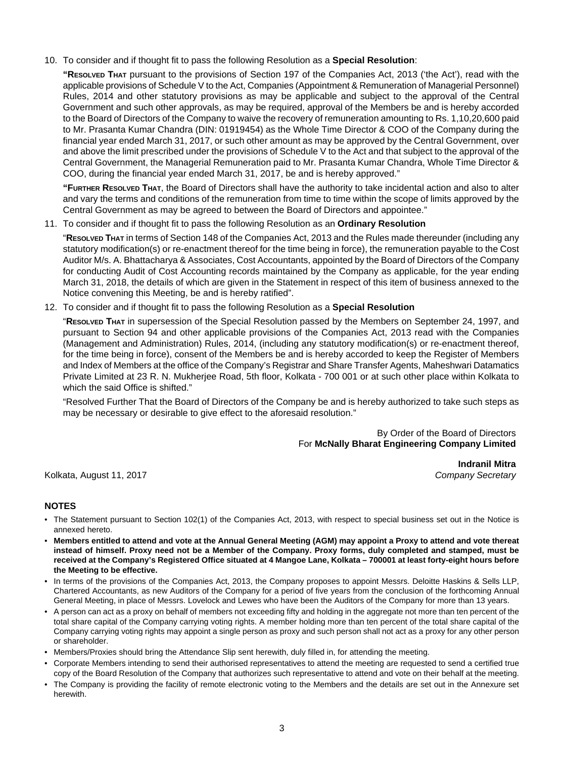10. To consider and if thought fit to pass the following Resolution as a **Special Resolution**:

**"RESOLVED THAT** pursuant to the provisions of Section 197 of the Companies Act, 2013 ('the Act'), read with the applicable provisions of Schedule V to the Act, Companies (Appointment & Remuneration of Managerial Personnel) Rules, 2014 and other statutory provisions as may be applicable and subject to the approval of the Central Government and such other approvals, as may be required, approval of the Members be and is hereby accorded to the Board of Directors of the Company to waive the recovery of remuneration amounting to Rs. 1,10,20,600 paid to Mr. Prasanta Kumar Chandra (DIN: 01919454) as the Whole Time Director & COO of the Company during the financial year ended March 31, 2017, or such other amount as may be approved by the Central Government, over and above the limit prescribed under the provisions of Schedule V to the Act and that subject to the approval of the Central Government, the Managerial Remuneration paid to Mr. Prasanta Kumar Chandra, Whole Time Director & COO, during the financial year ended March 31, 2017, be and is hereby approved."

**"FURTHER RESOLVED THAT**, the Board of Directors shall have the authority to take incidental action and also to alter and vary the terms and conditions of the remuneration from time to time within the scope of limits approved by the Central Government as may be agreed to between the Board of Directors and appointee."

11. To consider and if thought fit to pass the following Resolution as an **Ordinary Resolution**

"**RESOLVED THAT** in terms of Section 148 of the Companies Act, 2013 and the Rules made thereunder (including any statutory modification(s) or re-enactment thereof for the time being in force), the remuneration payable to the Cost Auditor M/s. A. Bhattacharya & Associates, Cost Accountants, appointed by the Board of Directors of the Company for conducting Audit of Cost Accounting records maintained by the Company as applicable, for the year ending March 31, 2018, the details of which are given in the Statement in respect of this item of business annexed to the Notice convening this Meeting, be and is hereby ratified".

12. To consider and if thought fit to pass the following Resolution as a **Special Resolution**

"**RESOLVED THAT** in supersession of the Special Resolution passed by the Members on September 24, 1997, and pursuant to Section 94 and other applicable provisions of the Companies Act, 2013 read with the Companies (Management and Administration) Rules, 2014, (including any statutory modification(s) or re-enactment thereof, for the time being in force), consent of the Members be and is hereby accorded to keep the Register of Members and Index of Members at the office of the Company's Registrar and Share Transfer Agents, Maheshwari Datamatics Private Limited at 23 R. N. Mukherjee Road, 5th floor, Kolkata - 700 001 or at such other place within Kolkata to which the said Office is shifted."

"Resolved Further That the Board of Directors of the Company be and is hereby authorized to take such steps as may be necessary or desirable to give effect to the aforesaid resolution."

> By Order of the Board of Directors For **McNally Bharat Engineering Company Limited**

Kolkata, August 11, 2017 *Company Secretary*

**Indranil Mitra**

## **NOTES**

- The Statement pursuant to Section 102(1) of the Companies Act, 2013, with respect to special business set out in the Notice is annexed hereto.
- **Members entitled to attend and vote at the Annual General Meeting (AGM) may appoint a Proxy to attend and vote thereat instead of himself. Proxy need not be a Member of the Company. Proxy forms, duly completed and stamped, must be received at the Company's Registered Office situated at 4 Mangoe Lane, Kolkata – 700001 at least forty-eight hours before the Meeting to be effective.**
- In terms of the provisions of the Companies Act, 2013, the Company proposes to appoint Messrs. Deloitte Haskins & Sells LLP, Chartered Accountants, as new Auditors of the Company for a period of five years from the conclusion of the forthcoming Annual General Meeting, in place of Messrs. Lovelock and Lewes who have been the Auditors of the Company for more than 13 years.
- A person can act as a proxy on behalf of members not exceeding fifty and holding in the aggregate not more than ten percent of the total share capital of the Company carrying voting rights. A member holding more than ten percent of the total share capital of the Company carrying voting rights may appoint a single person as proxy and such person shall not act as a proxy for any other person or shareholder.
- Members/Proxies should bring the Attendance Slip sent herewith, duly filled in, for attending the meeting.
- Corporate Members intending to send their authorised representatives to attend the meeting are requested to send a certified true copy of the Board Resolution of the Company that authorizes such representative to attend and vote on their behalf at the meeting.
- The Company is providing the facility of remote electronic voting to the Members and the details are set out in the Annexure set herewith.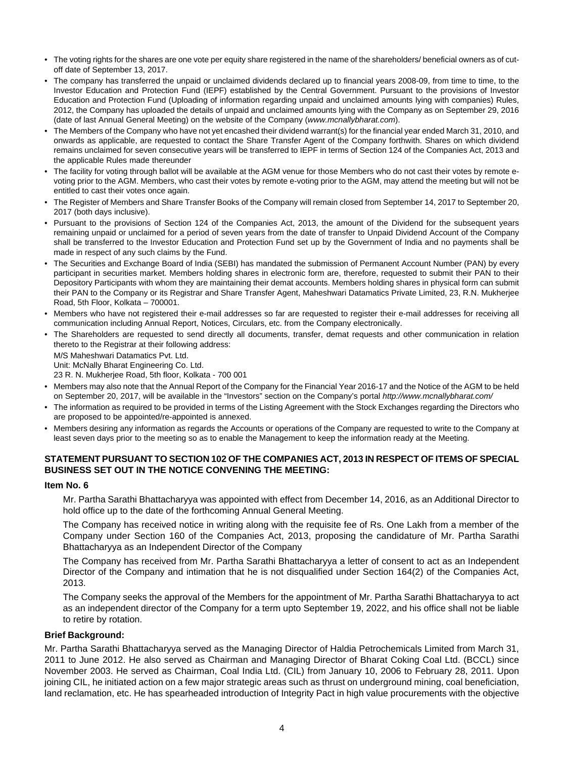- The voting rights for the shares are one vote per equity share registered in the name of the shareholders/ beneficial owners as of cutoff date of September 13, 2017.
- The company has transferred the unpaid or unclaimed dividends declared up to financial years 2008-09, from time to time, to the Investor Education and Protection Fund (IEPF) established by the Central Government. Pursuant to the provisions of Investor Education and Protection Fund (Uploading of information regarding unpaid and unclaimed amounts lying with companies) Rules, 2012, the Company has uploaded the details of unpaid and unclaimed amounts lying with the Company as on September 29, 2016 (date of last Annual General Meeting) on the website of the Company (*www.mcnallybharat.com*).
- The Members of the Company who have not yet encashed their dividend warrant(s) for the financial year ended March 31, 2010, and onwards as applicable, are requested to contact the Share Transfer Agent of the Company forthwith. Shares on which dividend remains unclaimed for seven consecutive years will be transferred to IEPF in terms of Section 124 of the Companies Act, 2013 and the applicable Rules made thereunder
- The facility for voting through ballot will be available at the AGM venue for those Members who do not cast their votes by remote evoting prior to the AGM. Members, who cast their votes by remote e-voting prior to the AGM, may attend the meeting but will not be entitled to cast their votes once again.
- The Register of Members and Share Transfer Books of the Company will remain closed from September 14, 2017 to September 20, 2017 (both days inclusive).
- Pursuant to the provisions of Section 124 of the Companies Act, 2013, the amount of the Dividend for the subsequent years remaining unpaid or unclaimed for a period of seven years from the date of transfer to Unpaid Dividend Account of the Company shall be transferred to the Investor Education and Protection Fund set up by the Government of India and no payments shall be made in respect of any such claims by the Fund.
- The Securities and Exchange Board of India (SEBI) has mandated the submission of Permanent Account Number (PAN) by every participant in securities market. Members holding shares in electronic form are, therefore, requested to submit their PAN to their Depository Participants with whom they are maintaining their demat accounts. Members holding shares in physical form can submit their PAN to the Company or its Registrar and Share Transfer Agent, Maheshwari Datamatics Private Limited, 23, R.N. Mukherjee Road, 5th Floor, Kolkata – 700001.
- Members who have not registered their e-mail addresses so far are requested to register their e-mail addresses for receiving all communication including Annual Report, Notices, Circulars, etc. from the Company electronically.
- The Shareholders are requested to send directly all documents, transfer, demat requests and other communication in relation thereto to the Registrar at their following address: M/S Maheshwari Datamatics Pvt. Ltd.

Unit: McNally Bharat Engineering Co. Ltd.

23 R. N. Mukherjee Road, 5th floor, Kolkata - 700 001

- Members may also note that the Annual Report of the Company for the Financial Year 2016-17 and the Notice of the AGM to be held on September 20, 2017, will be available in the "Investors" section on the Company's portal *http://www.mcnallybharat.com/*
- The information as required to be provided in terms of the Listing Agreement with the Stock Exchanges regarding the Directors who are proposed to be appointed/re-appointed is annexed.
- Members desiring any information as regards the Accounts or operations of the Company are requested to write to the Company at least seven days prior to the meeting so as to enable the Management to keep the information ready at the Meeting.

## **STATEMENT PURSUANT TO SECTION 102 OF THE COMPANIES ACT, 2013 IN RESPECT OF ITEMS OF SPECIAL BUSINESS SET OUT IN THE NOTICE CONVENING THE MEETING:**

#### **Item No. 6**

Mr. Partha Sarathi Bhattacharyya was appointed with effect from December 14, 2016, as an Additional Director to hold office up to the date of the forthcoming Annual General Meeting.

The Company has received notice in writing along with the requisite fee of Rs. One Lakh from a member of the Company under Section 160 of the Companies Act, 2013, proposing the candidature of Mr. Partha Sarathi Bhattacharyya as an Independent Director of the Company

The Company has received from Mr. Partha Sarathi Bhattacharyya a letter of consent to act as an Independent Director of the Company and intimation that he is not disqualified under Section 164(2) of the Companies Act, 2013.

The Company seeks the approval of the Members for the appointment of Mr. Partha Sarathi Bhattacharyya to act as an independent director of the Company for a term upto September 19, 2022, and his office shall not be liable to retire by rotation.

#### **Brief Background:**

Mr. Partha Sarathi Bhattacharyya served as the Managing Director of Haldia Petrochemicals Limited from March 31, 2011 to June 2012. He also served as Chairman and Managing Director of Bharat Coking Coal Ltd. (BCCL) since November 2003. He served as Chairman, Coal India Ltd. (CIL) from January 10, 2006 to February 28, 2011. Upon joining CIL, he initiated action on a few major strategic areas such as thrust on underground mining, coal beneficiation, land reclamation, etc. He has spearheaded introduction of Integrity Pact in high value procurements with the objective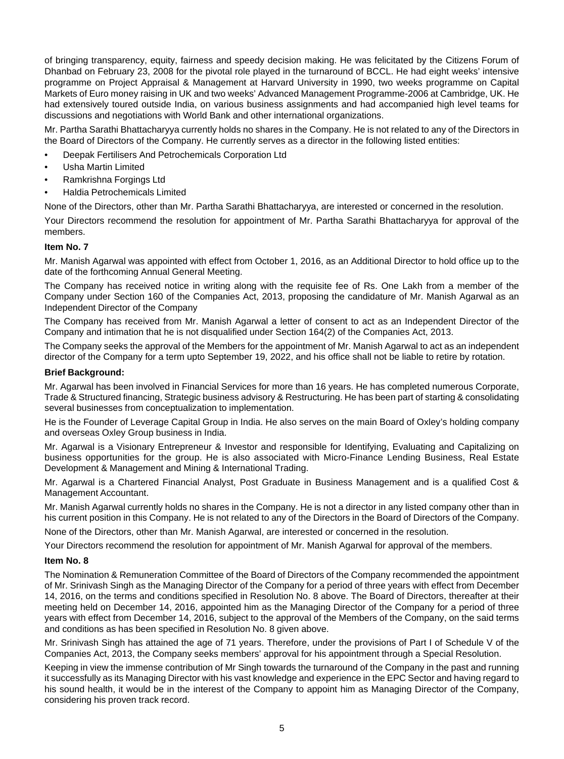of bringing transparency, equity, fairness and speedy decision making. He was felicitated by the Citizens Forum of Dhanbad on February 23, 2008 for the pivotal role played in the turnaround of BCCL. He had eight weeks' intensive programme on Project Appraisal & Management at Harvard University in 1990, two weeks programme on Capital Markets of Euro money raising in UK and two weeks' Advanced Management Programme-2006 at Cambridge, UK. He had extensively toured outside India, on various business assignments and had accompanied high level teams for discussions and negotiations with World Bank and other international organizations.

Mr. Partha Sarathi Bhattacharyya currently holds no shares in the Company. He is not related to any of the Directors in the Board of Directors of the Company. He currently serves as a director in the following listed entities:

- Deepak Fertilisers And Petrochemicals Corporation Ltd
- Usha Martin Limited
- Ramkrishna Forgings Ltd
- Haldia Petrochemicals Limited

None of the Directors, other than Mr. Partha Sarathi Bhattacharyya, are interested or concerned in the resolution.

Your Directors recommend the resolution for appointment of Mr. Partha Sarathi Bhattacharyya for approval of the members.

## **Item No. 7**

Mr. Manish Agarwal was appointed with effect from October 1, 2016, as an Additional Director to hold office up to the date of the forthcoming Annual General Meeting.

The Company has received notice in writing along with the requisite fee of Rs. One Lakh from a member of the Company under Section 160 of the Companies Act, 2013, proposing the candidature of Mr. Manish Agarwal as an Independent Director of the Company

The Company has received from Mr. Manish Agarwal a letter of consent to act as an Independent Director of the Company and intimation that he is not disqualified under Section 164(2) of the Companies Act, 2013.

The Company seeks the approval of the Members for the appointment of Mr. Manish Agarwal to act as an independent director of the Company for a term upto September 19, 2022, and his office shall not be liable to retire by rotation.

## **Brief Background:**

Mr. Agarwal has been involved in Financial Services for more than 16 years. He has completed numerous Corporate, Trade & Structured financing, Strategic business advisory & Restructuring. He has been part of starting & consolidating several businesses from conceptualization to implementation.

He is the Founder of Leverage Capital Group in India. He also serves on the main Board of Oxley's holding company and overseas Oxley Group business in India.

Mr. Agarwal is a Visionary Entrepreneur & Investor and responsible for Identifying, Evaluating and Capitalizing on business opportunities for the group. He is also associated with Micro-Finance Lending Business, Real Estate Development & Management and Mining & International Trading.

Mr. Agarwal is a Chartered Financial Analyst, Post Graduate in Business Management and is a qualified Cost & Management Accountant.

Mr. Manish Agarwal currently holds no shares in the Company. He is not a director in any listed company other than in his current position in this Company. He is not related to any of the Directors in the Board of Directors of the Company.

None of the Directors, other than Mr. Manish Agarwal, are interested or concerned in the resolution.

Your Directors recommend the resolution for appointment of Mr. Manish Agarwal for approval of the members.

## **Item No. 8**

The Nomination & Remuneration Committee of the Board of Directors of the Company recommended the appointment of Mr. Srinivash Singh as the Managing Director of the Company for a period of three years with effect from December 14, 2016, on the terms and conditions specified in Resolution No. 8 above. The Board of Directors, thereafter at their meeting held on December 14, 2016, appointed him as the Managing Director of the Company for a period of three years with effect from December 14, 2016, subject to the approval of the Members of the Company, on the said terms and conditions as has been specified in Resolution No. 8 given above.

Mr. Srinivash Singh has attained the age of 71 years. Therefore, under the provisions of Part I of Schedule V of the Companies Act, 2013, the Company seeks members' approval for his appointment through a Special Resolution.

Keeping in view the immense contribution of Mr Singh towards the turnaround of the Company in the past and running it successfully as its Managing Director with his vast knowledge and experience in the EPC Sector and having regard to his sound health, it would be in the interest of the Company to appoint him as Managing Director of the Company, considering his proven track record.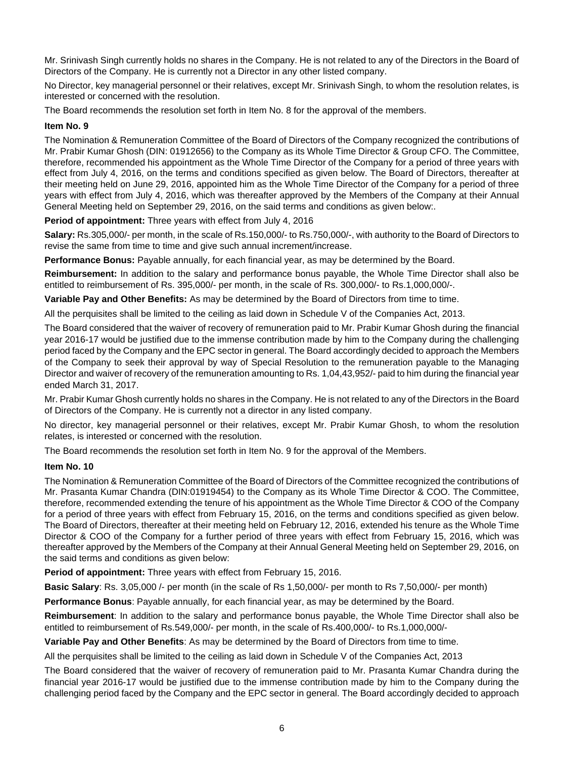Mr. Srinivash Singh currently holds no shares in the Company. He is not related to any of the Directors in the Board of Directors of the Company. He is currently not a Director in any other listed company.

No Director, key managerial personnel or their relatives, except Mr. Srinivash Singh, to whom the resolution relates, is interested or concerned with the resolution.

The Board recommends the resolution set forth in Item No. 8 for the approval of the members.

#### **Item No. 9**

The Nomination & Remuneration Committee of the Board of Directors of the Company recognized the contributions of Mr. Prabir Kumar Ghosh (DIN: 01912656) to the Company as its Whole Time Director & Group CFO. The Committee, therefore, recommended his appointment as the Whole Time Director of the Company for a period of three years with effect from July 4, 2016, on the terms and conditions specified as given below. The Board of Directors, thereafter at their meeting held on June 29, 2016, appointed him as the Whole Time Director of the Company for a period of three years with effect from July 4, 2016, which was thereafter approved by the Members of the Company at their Annual General Meeting held on September 29, 2016, on the said terms and conditions as given below:.

**Period of appointment:** Three years with effect from July 4, 2016

**Salary:** Rs.305,000/- per month, in the scale of Rs.150,000/- to Rs.750,000/-, with authority to the Board of Directors to revise the same from time to time and give such annual increment/increase.

**Performance Bonus:** Payable annually, for each financial year, as may be determined by the Board.

**Reimbursement:** In addition to the salary and performance bonus payable, the Whole Time Director shall also be entitled to reimbursement of Rs. 395,000/- per month, in the scale of Rs. 300,000/- to Rs.1,000,000/-.

**Variable Pay and Other Benefits:** As may be determined by the Board of Directors from time to time.

All the perquisites shall be limited to the ceiling as laid down in Schedule V of the Companies Act, 2013.

The Board considered that the waiver of recovery of remuneration paid to Mr. Prabir Kumar Ghosh during the financial year 2016-17 would be justified due to the immense contribution made by him to the Company during the challenging period faced by the Company and the EPC sector in general. The Board accordingly decided to approach the Members of the Company to seek their approval by way of Special Resolution to the remuneration payable to the Managing Director and waiver of recovery of the remuneration amounting to Rs. 1,04,43,952/- paid to him during the financial year ended March 31, 2017.

Mr. Prabir Kumar Ghosh currently holds no shares in the Company. He is not related to any of the Directors in the Board of Directors of the Company. He is currently not a director in any listed company.

No director, key managerial personnel or their relatives, except Mr. Prabir Kumar Ghosh, to whom the resolution relates, is interested or concerned with the resolution.

The Board recommends the resolution set forth in Item No. 9 for the approval of the Members.

#### **Item No. 10**

The Nomination & Remuneration Committee of the Board of Directors of the Committee recognized the contributions of Mr. Prasanta Kumar Chandra (DIN:01919454) to the Company as its Whole Time Director & COO. The Committee, therefore, recommended extending the tenure of his appointment as the Whole Time Director & COO of the Company for a period of three years with effect from February 15, 2016, on the terms and conditions specified as given below. The Board of Directors, thereafter at their meeting held on February 12, 2016, extended his tenure as the Whole Time Director & COO of the Company for a further period of three years with effect from February 15, 2016, which was thereafter approved by the Members of the Company at their Annual General Meeting held on September 29, 2016, on the said terms and conditions as given below:

**Period of appointment:** Three years with effect from February 15, 2016.

**Basic Salary**: Rs. 3,05,000 /- per month (in the scale of Rs 1,50,000/- per month to Rs 7,50,000/- per month)

**Performance Bonus**: Payable annually, for each financial year, as may be determined by the Board.

**Reimbursement**: In addition to the salary and performance bonus payable, the Whole Time Director shall also be entitled to reimbursement of Rs.549,000/- per month, in the scale of Rs.400,000/- to Rs.1,000,000/-

**Variable Pay and Other Benefits**: As may be determined by the Board of Directors from time to time.

All the perquisites shall be limited to the ceiling as laid down in Schedule V of the Companies Act, 2013

The Board considered that the waiver of recovery of remuneration paid to Mr. Prasanta Kumar Chandra during the financial year 2016-17 would be justified due to the immense contribution made by him to the Company during the challenging period faced by the Company and the EPC sector in general. The Board accordingly decided to approach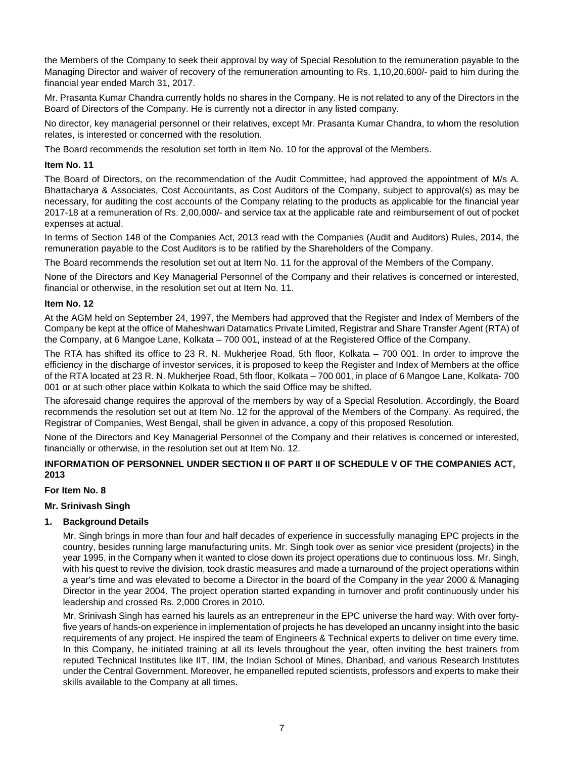the Members of the Company to seek their approval by way of Special Resolution to the remuneration payable to the Managing Director and waiver of recovery of the remuneration amounting to Rs. 1,10,20,600/- paid to him during the financial year ended March 31, 2017.

Mr. Prasanta Kumar Chandra currently holds no shares in the Company. He is not related to any of the Directors in the Board of Directors of the Company. He is currently not a director in any listed company.

No director, key managerial personnel or their relatives, except Mr. Prasanta Kumar Chandra, to whom the resolution relates, is interested or concerned with the resolution.

The Board recommends the resolution set forth in Item No. 10 for the approval of the Members.

## **Item No. 11**

The Board of Directors, on the recommendation of the Audit Committee, had approved the appointment of M/s A. Bhattacharya & Associates, Cost Accountants, as Cost Auditors of the Company, subject to approval(s) as may be necessary, for auditing the cost accounts of the Company relating to the products as applicable for the financial year 2017-18 at a remuneration of Rs. 2,00,000/- and service tax at the applicable rate and reimbursement of out of pocket expenses at actual.

In terms of Section 148 of the Companies Act, 2013 read with the Companies (Audit and Auditors) Rules, 2014, the remuneration payable to the Cost Auditors is to be ratified by the Shareholders of the Company.

The Board recommends the resolution set out at Item No. 11 for the approval of the Members of the Company.

None of the Directors and Key Managerial Personnel of the Company and their relatives is concerned or interested, financial or otherwise, in the resolution set out at Item No. 11.

## **Item No. 12**

At the AGM held on September 24, 1997, the Members had approved that the Register and Index of Members of the Company be kept at the office of Maheshwari Datamatics Private Limited, Registrar and Share Transfer Agent (RTA) of the Company, at 6 Mangoe Lane, Kolkata – 700 001, instead of at the Registered Office of the Company.

The RTA has shifted its office to 23 R. N. Mukherjee Road, 5th floor, Kolkata – 700 001. In order to improve the efficiency in the discharge of investor services, it is proposed to keep the Register and Index of Members at the office of the RTA located at 23 R. N. Mukherjee Road, 5th floor, Kolkata – 700 001, in place of 6 Mangoe Lane, Kolkata- 700 001 or at such other place within Kolkata to which the said Office may be shifted.

The aforesaid change requires the approval of the members by way of a Special Resolution. Accordingly, the Board recommends the resolution set out at Item No. 12 for the approval of the Members of the Company. As required, the Registrar of Companies, West Bengal, shall be given in advance, a copy of this proposed Resolution.

None of the Directors and Key Managerial Personnel of the Company and their relatives is concerned or interested, financially or otherwise, in the resolution set out at Item No. 12.

# **INFORMATION OF PERSONNEL UNDER SECTION II OF PART II OF SCHEDULE V OF THE COMPANIES ACT, 2013**

## **For Item No. 8**

# **Mr. Srinivash Singh**

# **1. Background Details**

Mr. Singh brings in more than four and half decades of experience in successfully managing EPC projects in the country, besides running large manufacturing units. Mr. Singh took over as senior vice president (projects) in the year 1995, in the Company when it wanted to close down its project operations due to continuous loss. Mr. Singh, with his quest to revive the division, took drastic measures and made a turnaround of the project operations within a year's time and was elevated to become a Director in the board of the Company in the year 2000 & Managing Director in the year 2004. The project operation started expanding in turnover and profit continuously under his leadership and crossed Rs. 2,000 Crores in 2010.

Mr. Srinivash Singh has earned his laurels as an entrepreneur in the EPC universe the hard way. With over fortyfive years of hands-on experience in implementation of projects he has developed an uncanny insight into the basic requirements of any project. He inspired the team of Engineers & Technical experts to deliver on time every time. In this Company, he initiated training at all its levels throughout the year, often inviting the best trainers from reputed Technical Institutes like IIT, IIM, the Indian School of Mines, Dhanbad, and various Research Institutes under the Central Government. Moreover, he empanelled reputed scientists, professors and experts to make their skills available to the Company at all times.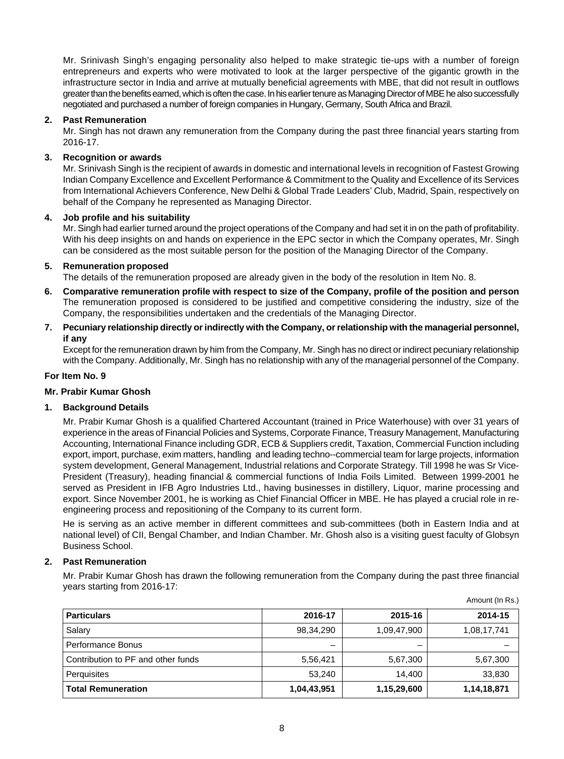Mr. Srinivash Singh's engaging personality also helped to make strategic tie-ups with a number of foreign entrepreneurs and experts who were motivated to look at the larger perspective of the gigantic growth in the infrastructure sector in India and arrive at mutually beneficial agreements with MBE, that did not result in outflows greater than the benefits earned, which is often the case. In his earlier tenure as Managing Director of MBE he also successfully negotiated and purchased a number of foreign companies in Hungary, Germany, South Africa and Brazil.

## **2. Past Remuneration**

Mr. Singh has not drawn any remuneration from the Company during the past three financial years starting from 2016-17.

## **3. Recognition or awards**

Mr. Srinivash Singh is the recipient of awards in domestic and international levels in recognition of Fastest Growing Indian Company Excellence and Excellent Performance & Commitment to the Quality and Excellence of its Services from International Achievers Conference, New Delhi & Global Trade Leaders' Club, Madrid, Spain, respectively on behalf of the Company he represented as Managing Director.

## **4. Job profile and his suitability**

Mr. Singh had earlier turned around the project operations of the Company and had set it in on the path of profitability. With his deep insights on and hands on experience in the EPC sector in which the Company operates, Mr. Singh can be considered as the most suitable person for the position of the Managing Director of the Company.

## **5. Remuneration proposed**

The details of the remuneration proposed are already given in the body of the resolution in Item No. 8.

- **6. Comparative remuneration profile with respect to size of the Company, profile of the position and person** The remuneration proposed is considered to be justified and competitive considering the industry, size of the Company, the responsibilities undertaken and the credentials of the Managing Director.
- **7. Pecuniary relationship directly or indirectly with the Company, or relationship with the managerial personnel, if any**

Except for the remuneration drawn by him from the Company, Mr. Singh has no direct or indirect pecuniary relationship with the Company. Additionally, Mr. Singh has no relationship with any of the managerial personnel of the Company.

## **For Item No. 9**

## **Mr. Prabir Kumar Ghosh**

# **1. Background Details**

Mr. Prabir Kumar Ghosh is a qualified Chartered Accountant (trained in Price Waterhouse) with over 31 years of experience in the areas of Financial Policies and Systems, Corporate Finance, Treasury Management, Manufacturing Accounting, International Finance including GDR, ECB & Suppliers credit, Taxation, Commercial Function including export, import, purchase, exim matters, handling and leading techno--commercial team for large projects, information system development, General Management, Industrial relations and Corporate Strategy. Till 1998 he was Sr Vice-President (Treasury), heading financial & commercial functions of India Foils Limited. Between 1999-2001 he served as President in IFB Agro Industries Ltd., having businesses in distillery, Liquor, marine processing and export. Since November 2001, he is working as Chief Financial Officer in MBE. He has played a crucial role in reengineering process and repositioning of the Company to its current form.

He is serving as an active member in different committees and sub-committees (both in Eastern India and at national level) of CII, Bengal Chamber, and Indian Chamber. Mr. Ghosh also is a visiting guest faculty of Globsyn Business School.

## **2. Past Remuneration**

Mr. Prabir Kumar Ghosh has drawn the following remuneration from the Company during the past three financial years starting from 2016-17:

| <b>Particulars</b>                 | 2016-17     | 2015-16     | 2014-15     |
|------------------------------------|-------------|-------------|-------------|
| Salary                             | 98.34.290   | 1,09,47,900 | 1,08,17,741 |
| Performance Bonus                  | -           |             |             |
| Contribution to PF and other funds | 5.56.421    | 5,67,300    | 5,67,300    |
| Perguisites                        | 53.240      | 14.400      | 33,830      |
| <b>Total Remuneration</b>          | 1,04,43,951 | 1,15,29,600 | 1,14,18,871 |

Amount (In Rs.)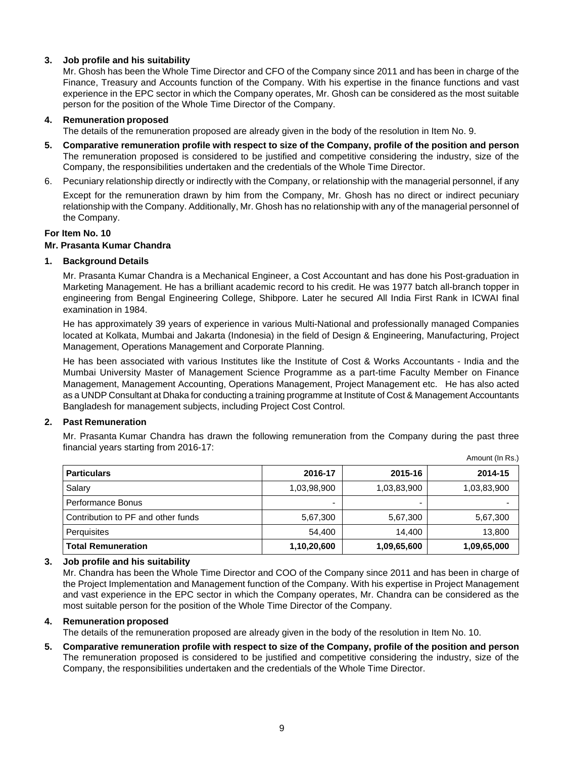## **3. Job profile and his suitability**

Mr. Ghosh has been the Whole Time Director and CFO of the Company since 2011 and has been in charge of the Finance, Treasury and Accounts function of the Company. With his expertise in the finance functions and vast experience in the EPC sector in which the Company operates, Mr. Ghosh can be considered as the most suitable person for the position of the Whole Time Director of the Company.

#### **4. Remuneration proposed**

The details of the remuneration proposed are already given in the body of the resolution in Item No. 9.

- **5. Comparative remuneration profile with respect to size of the Company, profile of the position and person** The remuneration proposed is considered to be justified and competitive considering the industry, size of the Company, the responsibilities undertaken and the credentials of the Whole Time Director.
- 6. Pecuniary relationship directly or indirectly with the Company, or relationship with the managerial personnel, if any

Except for the remuneration drawn by him from the Company, Mr. Ghosh has no direct or indirect pecuniary relationship with the Company. Additionally, Mr. Ghosh has no relationship with any of the managerial personnel of the Company.

## **For Item No. 10**

## **Mr. Prasanta Kumar Chandra**

#### **1. Background Details**

Mr. Prasanta Kumar Chandra is a Mechanical Engineer, a Cost Accountant and has done his Post-graduation in Marketing Management. He has a brilliant academic record to his credit. He was 1977 batch all-branch topper in engineering from Bengal Engineering College, Shibpore. Later he secured All India First Rank in ICWAI final examination in 1984.

He has approximately 39 years of experience in various Multi-National and professionally managed Companies located at Kolkata, Mumbai and Jakarta (Indonesia) in the field of Design & Engineering, Manufacturing, Project Management, Operations Management and Corporate Planning.

He has been associated with various Institutes like the Institute of Cost & Works Accountants - India and the Mumbai University Master of Management Science Programme as a part-time Faculty Member on Finance Management, Management Accounting, Operations Management, Project Management etc. He has also acted as a UNDP Consultant at Dhaka for conducting a training programme at Institute of Cost & Management Accountants Bangladesh for management subjects, including Project Cost Control.

## **2. Past Remuneration**

Mr. Prasanta Kumar Chandra has drawn the following remuneration from the Company during the past three financial years starting from 2016-17:

Amount (In Rs.)

| <b>Particulars</b>                 | 2016-17     | 2015-16     | 2014-15     |
|------------------------------------|-------------|-------------|-------------|
| Salary                             | 1,03,98,900 | 1,03,83,900 | 1,03,83,900 |
| Performance Bonus                  | ۰           | -           |             |
| Contribution to PF and other funds | 5,67,300    | 5,67,300    | 5,67,300    |
| Perguisites                        | 54.400      | 14.400      | 13,800      |
| <b>Total Remuneration</b>          | 1,10,20,600 | 1,09,65,600 | 1,09,65,000 |

#### **3. Job profile and his suitability**

Mr. Chandra has been the Whole Time Director and COO of the Company since 2011 and has been in charge of the Project Implementation and Management function of the Company. With his expertise in Project Management and vast experience in the EPC sector in which the Company operates, Mr. Chandra can be considered as the most suitable person for the position of the Whole Time Director of the Company.

#### **4. Remuneration proposed**

The details of the remuneration proposed are already given in the body of the resolution in Item No. 10.

**5. Comparative remuneration profile with respect to size of the Company, profile of the position and person** The remuneration proposed is considered to be justified and competitive considering the industry, size of the Company, the responsibilities undertaken and the credentials of the Whole Time Director.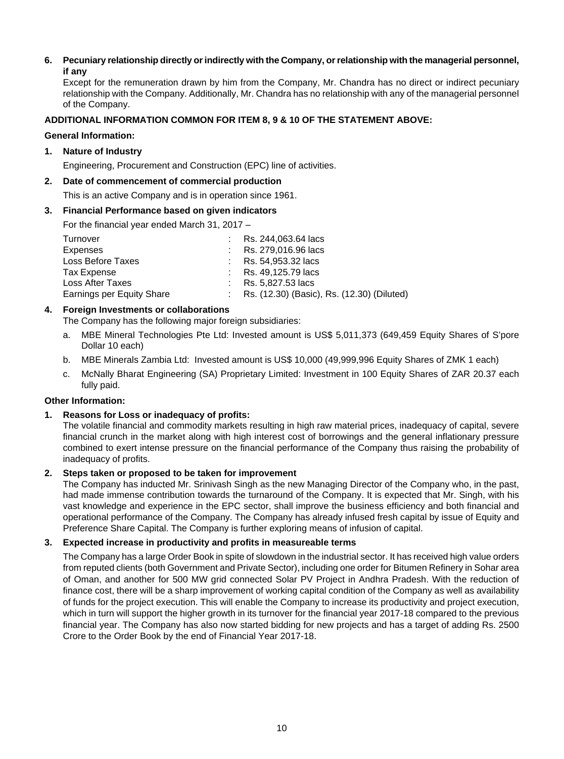## **6. Pecuniary relationship directly or indirectly with the Company, or relationship with the managerial personnel, if any**

Except for the remuneration drawn by him from the Company, Mr. Chandra has no direct or indirect pecuniary relationship with the Company. Additionally, Mr. Chandra has no relationship with any of the managerial personnel of the Company.

## **ADDITIONAL INFORMATION COMMON FOR ITEM 8, 9 & 10 OF THE STATEMENT ABOVE:**

## **General Information:**

## **1. Nature of Industry**

Engineering, Procurement and Construction (EPC) line of activities.

## **2. Date of commencement of commercial production**

This is an active Company and is in operation since 1961.

## **3. Financial Performance based on given indicators**

For the financial year ended March 31, 2017 –

| Turnover                  | Rs. 244,063.64 lacs                        |
|---------------------------|--------------------------------------------|
| Expenses                  | : Rs. 279.016.96 lacs                      |
| Loss Before Taxes         | $\therefore$ Rs. 54.953.32 lacs            |
| Tax Expense               | Rs. 49.125.79 lacs                         |
| Loss After Taxes          | Rs. 5,827.53 lacs                          |
| Earnings per Equity Share | Rs. (12.30) (Basic), Rs. (12.30) (Diluted) |

# **4. Foreign Investments or collaborations**

The Company has the following major foreign subsidiaries:

- a. MBE Mineral Technologies Pte Ltd: Invested amount is US\$ 5,011,373 (649,459 Equity Shares of S'pore Dollar 10 each)
- b. MBE Minerals Zambia Ltd: Invested amount is US\$ 10,000 (49,999,996 Equity Shares of ZMK 1 each)
- c. McNally Bharat Engineering (SA) Proprietary Limited: Investment in 100 Equity Shares of ZAR 20.37 each fully paid.

# **Other Information:**

# **1. Reasons for Loss or inadequacy of profits:**

The volatile financial and commodity markets resulting in high raw material prices, inadequacy of capital, severe financial crunch in the market along with high interest cost of borrowings and the general inflationary pressure combined to exert intense pressure on the financial performance of the Company thus raising the probability of inadequacy of profits.

# **2. Steps taken or proposed to be taken for improvement**

The Company has inducted Mr. Srinivash Singh as the new Managing Director of the Company who, in the past, had made immense contribution towards the turnaround of the Company. It is expected that Mr. Singh, with his vast knowledge and experience in the EPC sector, shall improve the business efficiency and both financial and operational performance of the Company. The Company has already infused fresh capital by issue of Equity and Preference Share Capital. The Company is further exploring means of infusion of capital.

# **3. Expected increase in productivity and profits in measureable terms**

The Company has a large Order Book in spite of slowdown in the industrial sector. It has received high value orders from reputed clients (both Government and Private Sector), including one order for Bitumen Refinery in Sohar area of Oman, and another for 500 MW grid connected Solar PV Project in Andhra Pradesh. With the reduction of finance cost, there will be a sharp improvement of working capital condition of the Company as well as availability of funds for the project execution. This will enable the Company to increase its productivity and project execution, which in turn will support the higher growth in its turnover for the financial year 2017-18 compared to the previous financial year. The Company has also now started bidding for new projects and has a target of adding Rs. 2500 Crore to the Order Book by the end of Financial Year 2017-18.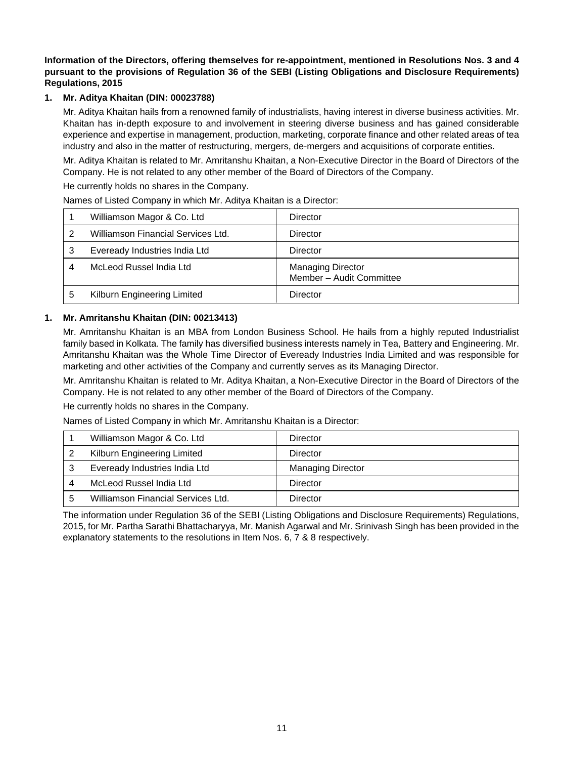## **Information of the Directors, offering themselves for re-appointment, mentioned in Resolutions Nos. 3 and 4 pursuant to the provisions of Regulation 36 of the SEBI (Listing Obligations and Disclosure Requirements) Regulations, 2015**

## **1. Mr. Aditya Khaitan (DIN: 00023788)**

Mr. Aditya Khaitan hails from a renowned family of industrialists, having interest in diverse business activities. Mr. Khaitan has in-depth exposure to and involvement in steering diverse business and has gained considerable experience and expertise in management, production, marketing, corporate finance and other related areas of tea industry and also in the matter of restructuring, mergers, de-mergers and acquisitions of corporate entities.

Mr. Aditya Khaitan is related to Mr. Amritanshu Khaitan, a Non-Executive Director in the Board of Directors of the Company. He is not related to any other member of the Board of Directors of the Company.

He currently holds no shares in the Company.

Names of Listed Company in which Mr. Aditya Khaitan is a Director:

| Williamson Magor & Co. Ltd         | Director                                             |
|------------------------------------|------------------------------------------------------|
| Williamson Financial Services Ltd. | Director                                             |
| Eveready Industries India Ltd      | Director                                             |
| McLeod Russel India Ltd            | <b>Managing Director</b><br>Member - Audit Committee |
| Kilburn Engineering Limited        | Director                                             |

## **1. Mr. Amritanshu Khaitan (DIN: 00213413)**

Mr. Amritanshu Khaitan is an MBA from London Business School. He hails from a highly reputed Industrialist family based in Kolkata. The family has diversified business interests namely in Tea, Battery and Engineering. Mr. Amritanshu Khaitan was the Whole Time Director of Eveready Industries India Limited and was responsible for marketing and other activities of the Company and currently serves as its Managing Director.

Mr. Amritanshu Khaitan is related to Mr. Aditya Khaitan, a Non-Executive Director in the Board of Directors of the Company. He is not related to any other member of the Board of Directors of the Company.

He currently holds no shares in the Company.

Names of Listed Company in which Mr. Amritanshu Khaitan is a Director:

| Williamson Magor & Co. Ltd         | Director                 |
|------------------------------------|--------------------------|
| Kilburn Engineering Limited        | Director                 |
| Eveready Industries India Ltd      | <b>Managing Director</b> |
| McLeod Russel India Ltd            | Director                 |
| Williamson Financial Services Ltd. | Director                 |

The information under Regulation 36 of the SEBI (Listing Obligations and Disclosure Requirements) Regulations, 2015, for Mr. Partha Sarathi Bhattacharyya, Mr. Manish Agarwal and Mr. Srinivash Singh has been provided in the explanatory statements to the resolutions in Item Nos. 6, 7 & 8 respectively.